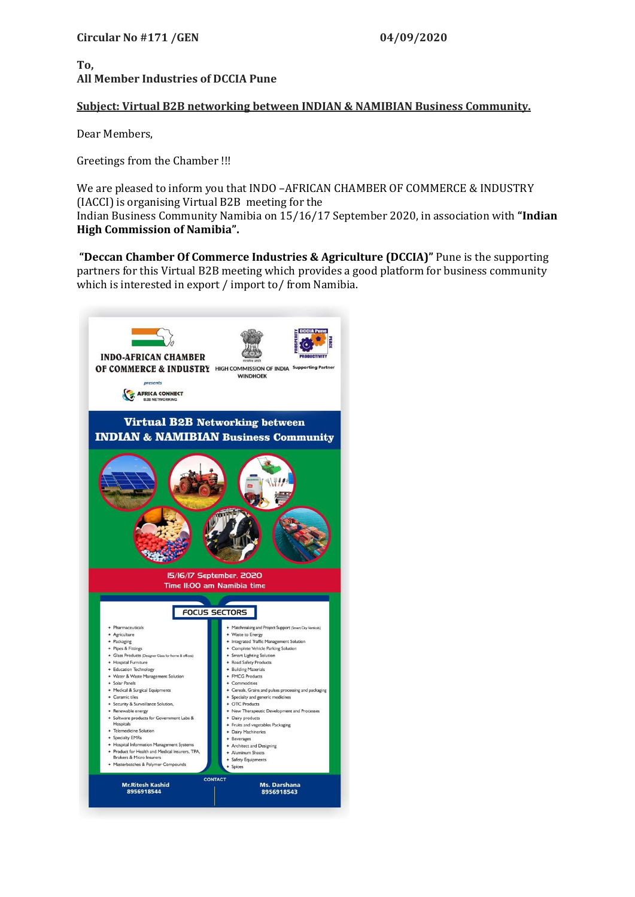## **To, All Member Industries of DCCIA Pune**

## **Subject: Virtual B2B networking between INDIAN & NAMIBIAN Business Community.**

Dear Members,

Greetings from the Chamber !!!

We are pleased to inform you that INDO –AFRICAN CHAMBER OF COMMERCE & INDUSTRY (IACCI) is organising Virtual B2B meeting for the Indian Business Community Namibia on 15/16/17 September 2020, in association with **"Indian High Commission of Namibia".**

**"Deccan Chamber Of Commerce Industries & Agriculture (DCCIA)"** Pune is the supporting partners for this Virtual B2B meeting which provides a good platform for business community which is interested in export / import to/ from Namibia.